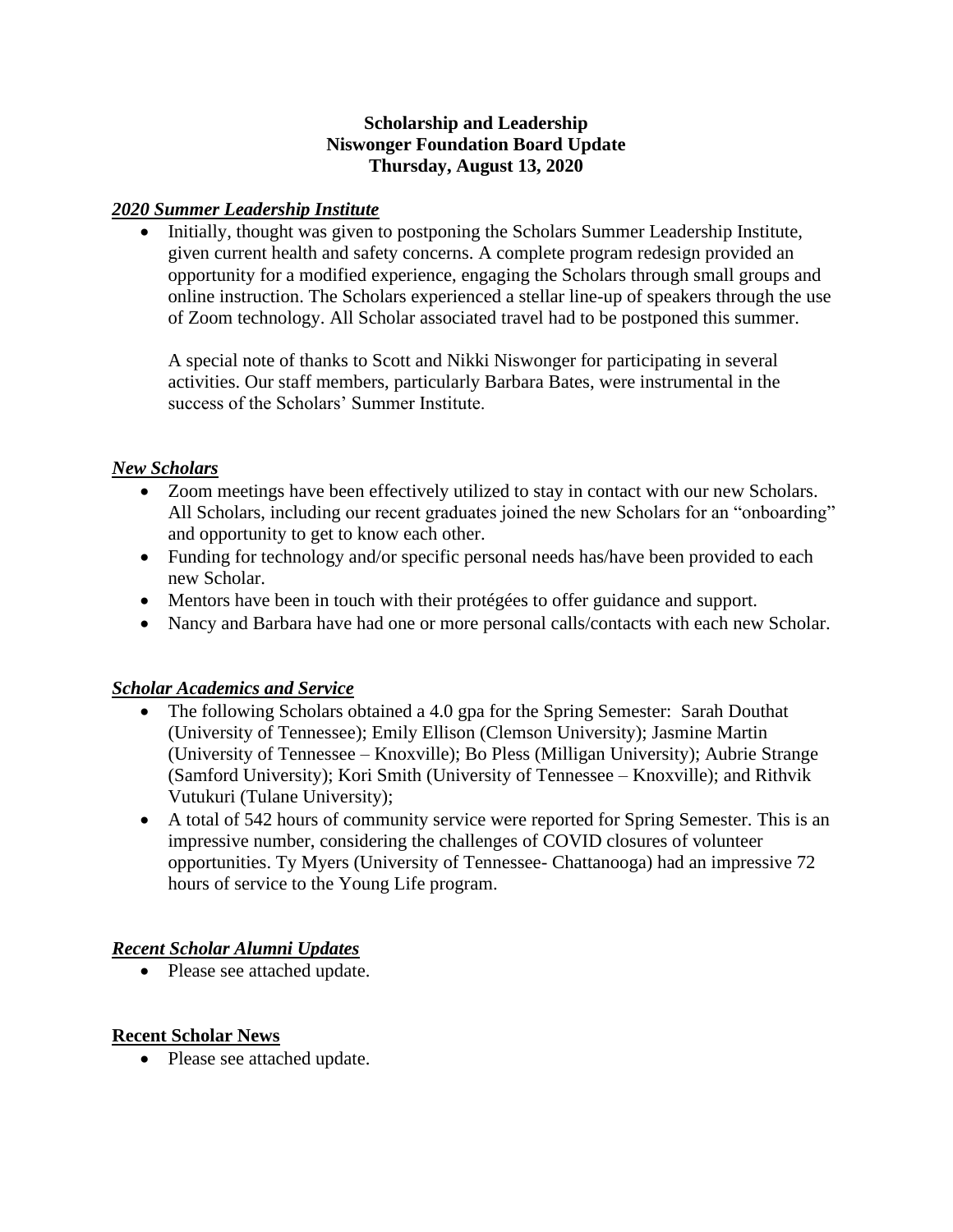#### **Scholarship and Leadership Niswonger Foundation Board Update Thursday, August 13, 2020**

#### *2020 Summer Leadership Institute*

• Initially, thought was given to postponing the Scholars Summer Leadership Institute, given current health and safety concerns. A complete program redesign provided an opportunity for a modified experience, engaging the Scholars through small groups and online instruction. The Scholars experienced a stellar line-up of speakers through the use of Zoom technology. All Scholar associated travel had to be postponed this summer.

A special note of thanks to Scott and Nikki Niswonger for participating in several activities. Our staff members, particularly Barbara Bates, were instrumental in the success of the Scholars' Summer Institute.

#### *New Scholars*

- Zoom meetings have been effectively utilized to stay in contact with our new Scholars. All Scholars, including our recent graduates joined the new Scholars for an "onboarding" and opportunity to get to know each other.
- Funding for technology and/or specific personal needs has/have been provided to each new Scholar.
- Mentors have been in touch with their protégées to offer guidance and support.
- Nancy and Barbara have had one or more personal calls/contacts with each new Scholar.

### *Scholar Academics and Service*

- The following Scholars obtained a 4.0 gpa for the Spring Semester: Sarah Douthat (University of Tennessee); Emily Ellison (Clemson University); Jasmine Martin (University of Tennessee – Knoxville); Bo Pless (Milligan University); Aubrie Strange (Samford University); Kori Smith (University of Tennessee – Knoxville); and Rithvik Vutukuri (Tulane University);
- A total of 542 hours of community service were reported for Spring Semester. This is an impressive number, considering the challenges of COVID closures of volunteer opportunities. Ty Myers (University of Tennessee- Chattanooga) had an impressive 72 hours of service to the Young Life program.

#### *Recent Scholar Alumni Updates*

• Please see attached update.

#### **Recent Scholar News**

• Please see attached update.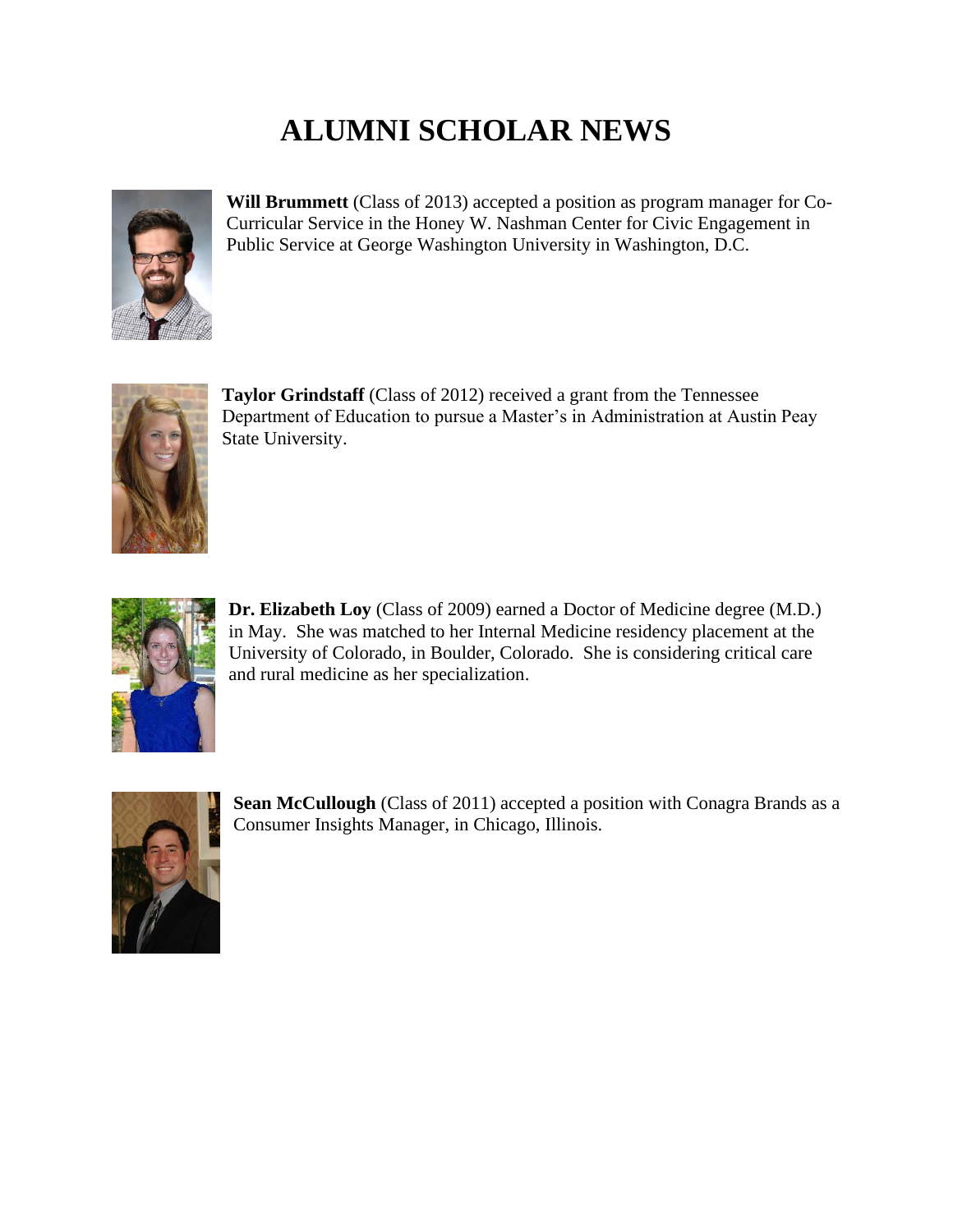# **ALUMNI SCHOLAR NEWS**



**Will Brummett** (Class of 2013) accepted a position as program manager for Co-Curricular Service in the Honey W. Nashman Center for Civic Engagement in Public Service at George Washington University in Washington, D.C.



**Taylor Grindstaff** (Class of 2012) received a grant from the Tennessee Department of Education to pursue a Master's in Administration at Austin Peay State University.



**Dr. Elizabeth Loy** (Class of 2009) earned a Doctor of Medicine degree (M.D.) in May. She was matched to her Internal Medicine residency placement at the University of Colorado, in Boulder, Colorado. She is considering critical care and rural medicine as her specialization.



**Sean McCullough** (Class of 2011) accepted a position with Conagra Brands as a Consumer Insights Manager, in Chicago, Illinois.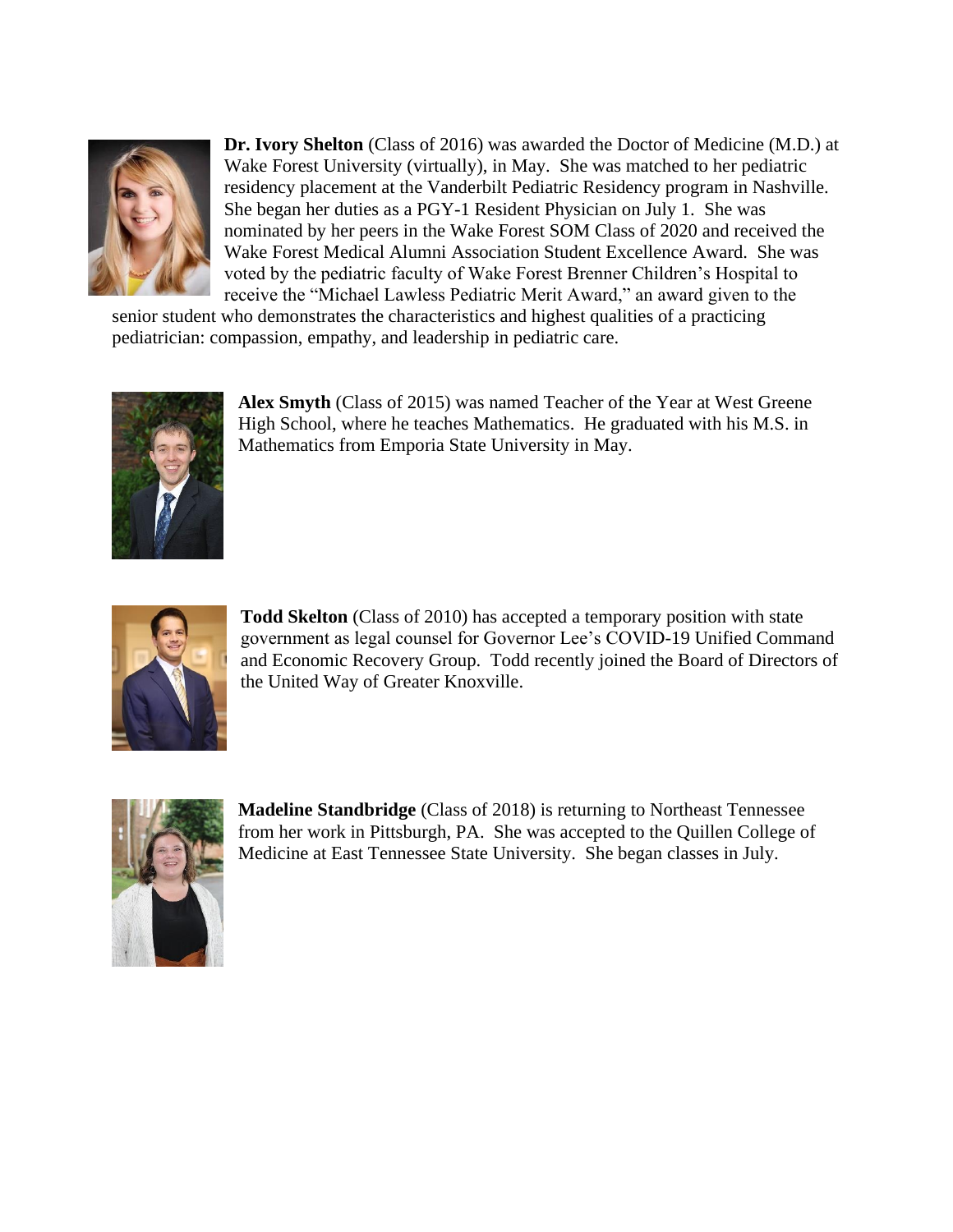

**Dr. Ivory Shelton** (Class of 2016) was awarded the Doctor of Medicine (M.D.) at Wake Forest University (virtually), in May. She was matched to her pediatric residency placement at the Vanderbilt Pediatric Residency program in Nashville. She began her duties as a PGY-1 Resident Physician on July 1. She was nominated by her peers in the Wake Forest SOM Class of 2020 and received the Wake Forest Medical Alumni Association Student Excellence Award. She was voted by the pediatric faculty of Wake Forest Brenner Children's Hospital to receive the "Michael Lawless Pediatric Merit Award," an award given to the

senior student who demonstrates the characteristics and highest qualities of a practicing pediatrician: compassion, empathy, and leadership in pediatric care.



**Alex Smyth** (Class of 2015) was named Teacher of the Year at West Greene High School, where he teaches Mathematics. He graduated with his M.S. in Mathematics from Emporia State University in May.



**Todd Skelton** (Class of 2010) has accepted a temporary position with state government as legal counsel for Governor Lee's COVID-19 Unified Command and Economic Recovery Group. Todd recently joined the Board of Directors of the United Way of Greater Knoxville.



**Madeline Standbridge** (Class of 2018) is returning to Northeast Tennessee from her work in Pittsburgh, PA. She was accepted to the Quillen College of Medicine at East Tennessee State University. She began classes in July.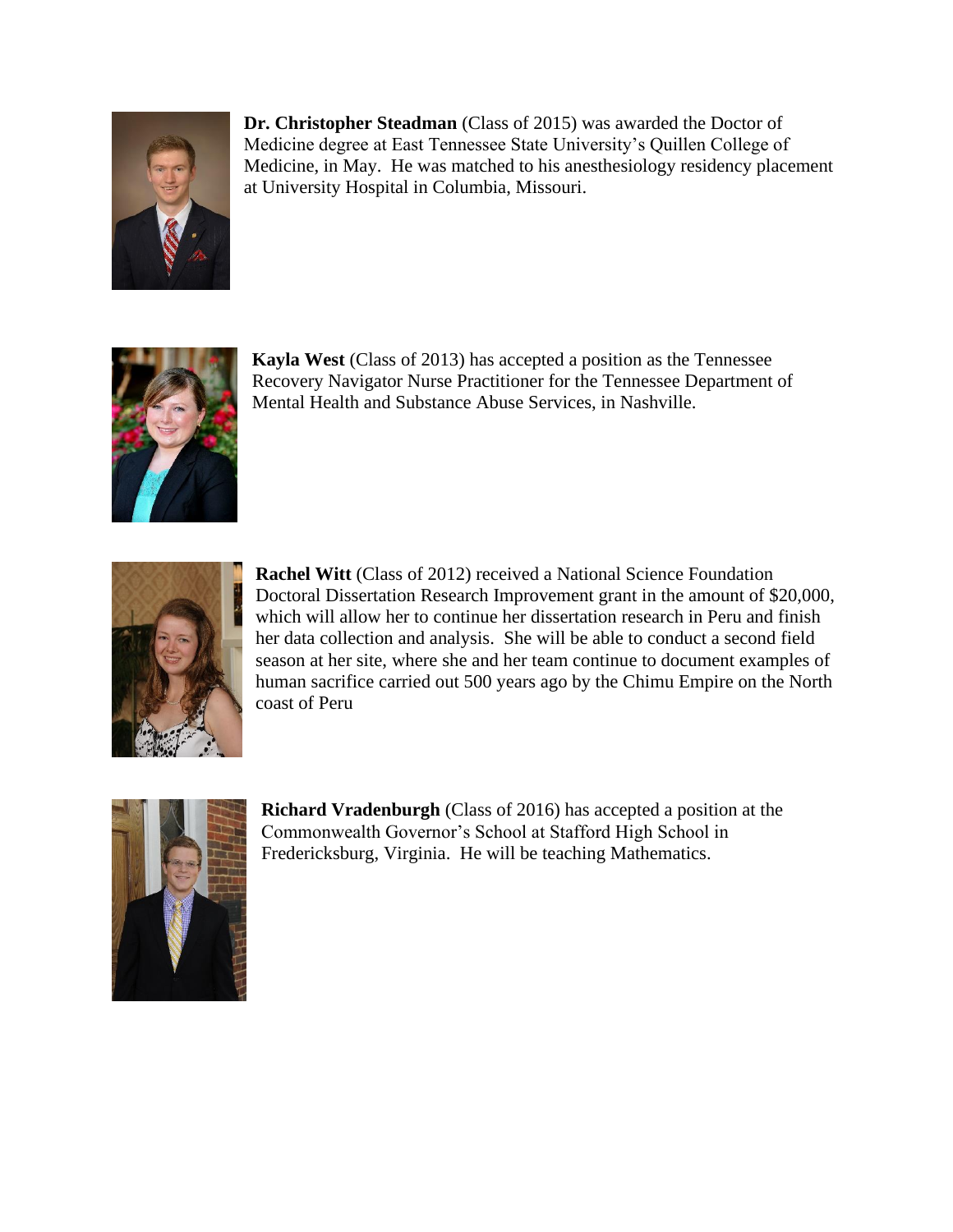

**Dr. Christopher Steadman** (Class of 2015) was awarded the Doctor of Medicine degree at East Tennessee State University's Quillen College of Medicine, in May. He was matched to his anesthesiology residency placement at University Hospital in Columbia, Missouri.



**Kayla West** (Class of 2013) has accepted a position as the Tennessee Recovery Navigator Nurse Practitioner for the Tennessee Department of Mental Health and Substance Abuse Services, in Nashville.



**Rachel Witt** (Class of 2012) received a National Science Foundation Doctoral Dissertation Research Improvement grant in the amount of \$20,000, which will allow her to continue her dissertation research in Peru and finish her data collection and analysis. She will be able to conduct a second field season at her site, where she and her team continue to document examples of human sacrifice carried out 500 years ago by the Chimu Empire on the North coast of Peru



**Richard Vradenburgh** (Class of 2016) has accepted a position at the Commonwealth Governor's School at Stafford High School in Fredericksburg, Virginia. He will be teaching Mathematics.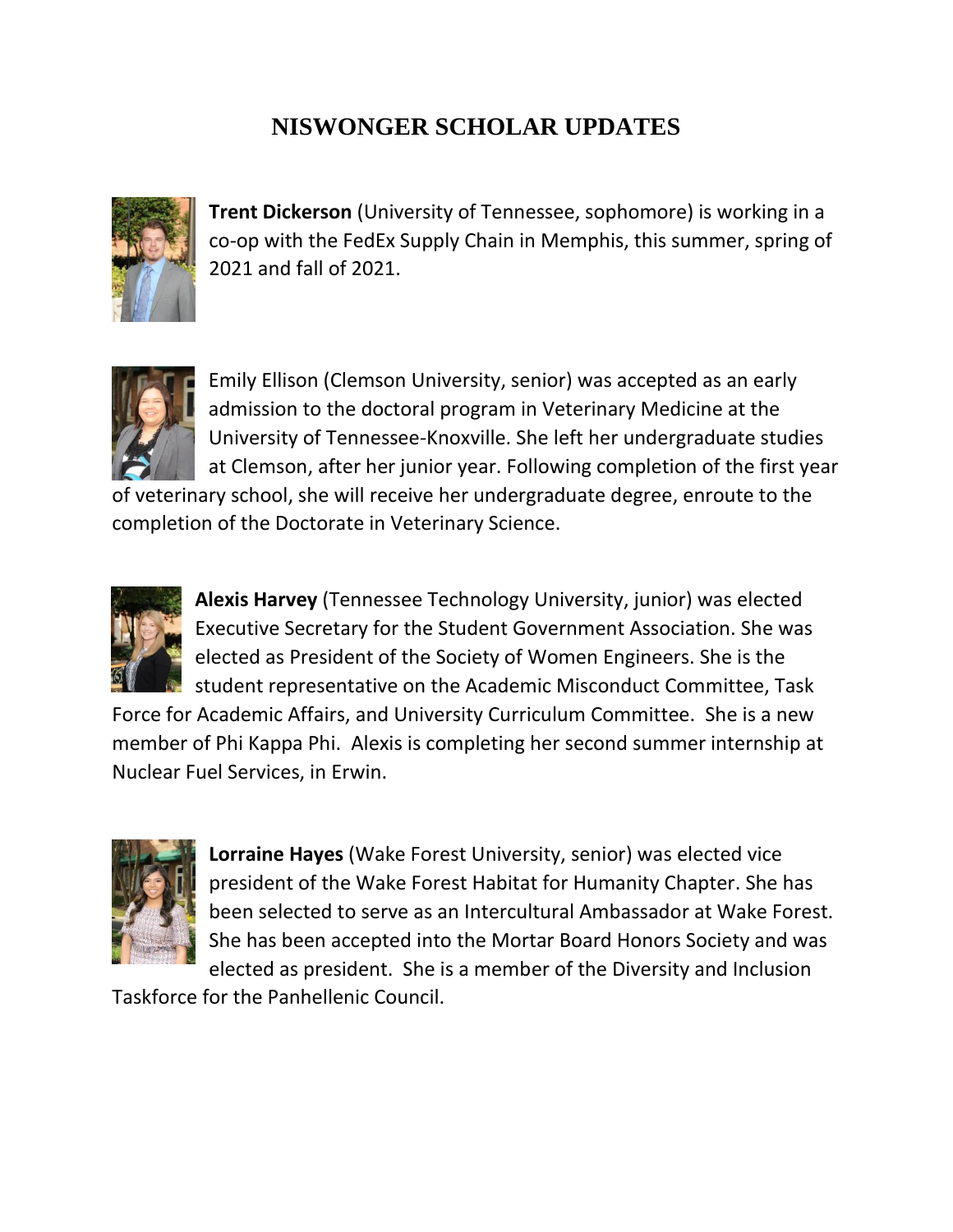## **NISWONGER SCHOLAR UPDATES**



**Trent Dickerson** (University of Tennessee, sophomore) is working in a co-op with the FedEx Supply Chain in Memphis, this summer, spring of 2021 and fall of 2021.



Emily Ellison (Clemson University, senior) was accepted as an early admission to the doctoral program in Veterinary Medicine at the University of Tennessee-Knoxville. She left her undergraduate studies at Clemson, after her junior year. Following completion of the first year

of veterinary school, she will receive her undergraduate degree, enroute to the completion of the Doctorate in Veterinary Science.



**Alexis Harvey** (Tennessee Technology University, junior) was elected Executive Secretary for the Student Government Association. She was elected as President of the Society of Women Engineers. She is the student representative on the Academic Misconduct Committee, Task

Force for Academic Affairs, and University Curriculum Committee. She is a new member of Phi Kappa Phi. Alexis is completing her second summer internship at Nuclear Fuel Services, in Erwin.



**Lorraine Hayes** (Wake Forest University, senior) was elected vice president of the Wake Forest Habitat for Humanity Chapter. She has been selected to serve as an Intercultural Ambassador at Wake Forest. She has been accepted into the Mortar Board Honors Society and was elected as president. She is a member of the Diversity and Inclusion

Taskforce for the Panhellenic Council.